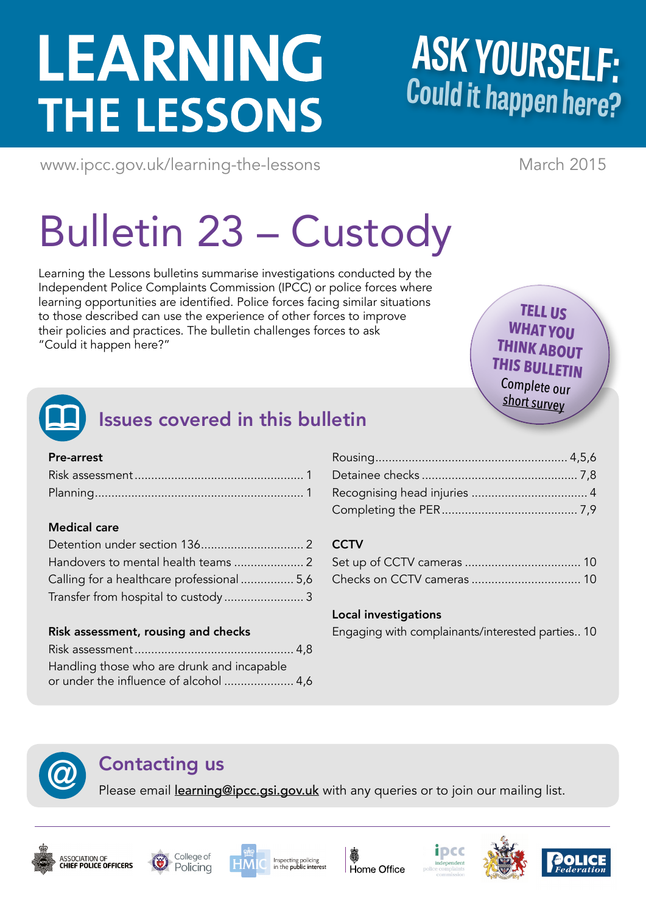# LEARNING **THE LESSONS**

## **ASK YOURSELF: Could it happen here?**

<www.ipcc.gov.uk/learning-the-lessons> March 2015

# Bulletin 23 – Custody

Learning the Lessons bulletins summarise investigations conducted by the Independent Police Complaints Commission (IPCC) or police forces where learning opportunities are identified. Police forces facing similar situations to those described can use the experience of other forces to improve their policies and practices. The bulletin challenges forces to ask "Could it happen here?"

**TELL US WHAT YOU THINK ABOUT THIS BULLETIN** Complete our [short survey](www.surveymonkey.com/s/LtLBulletin23)



## Issues covered in this bulletin

## Pre-arrest

## Medical care

| Calling for a healthcare professional  5,6 |  |
|--------------------------------------------|--|
|                                            |  |

## Risk assessment, rousing and checks

| Handling those who are drunk and incapable |  |
|--------------------------------------------|--|
| or under the influence of alcohol  4,6     |  |

## **CCTV**

## Local investigations

Engaging with complainants/interested parties.. 10

**Contacting us**<br>Please email learning@ipcc.gsi.gov.uk with any queries or to join our mailing list.













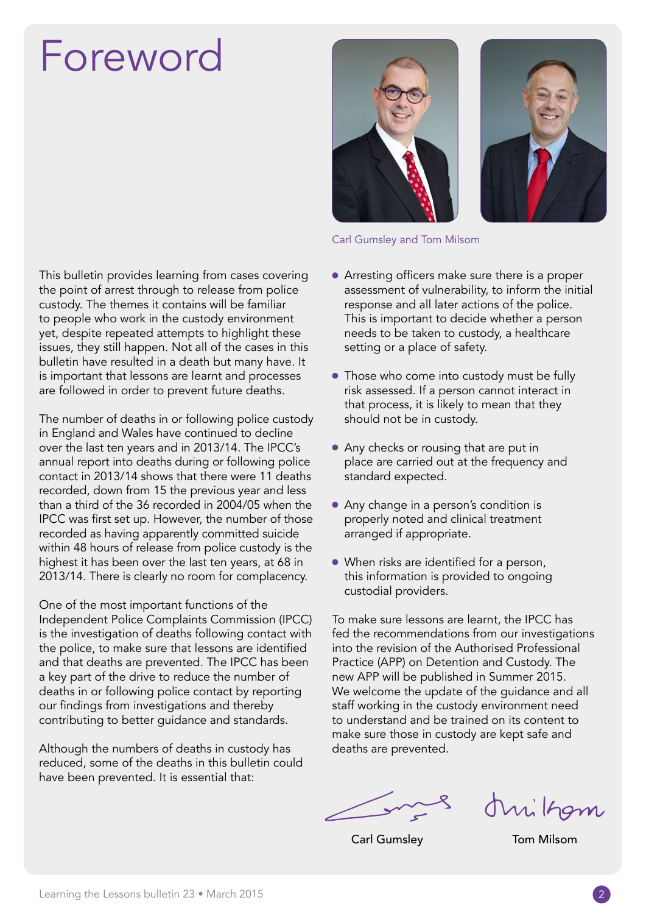## Foreword

This bulletin provides learning from cases covering the point of arrest through to release from police custody. The themes it contains will be familiar to people who work in the custody environment yet, despite repeated attempts to highlight these issues, they still happen. Not all of the cases in this bulletin have resulted in a death but many have. It is important that lessons are learnt and processes are followed in order to prevent future deaths.

The number of deaths in or following police custody in England and Wales have continued to decline over the last ten years and in 2013/14. The IPCC's annual report into deaths during or following police contact in 2013/14 shows that there were 11 deaths recorded, down from 15 the previous year and less than a third of the 36 recorded in 2004/05 when the IPCC was first set up. However, the number of those recorded as having apparently committed suicide within 48 hours of release from police custody is the highest it has been over the last ten years, at 68 in 2013/14. There is clearly no room for complacency.

One of the most important functions of the Independent Police Complaints Commission (IPCC) is the investigation of deaths following contact with the police, to make sure that lessons are identified and that deaths are prevented. The IPCC has been a key part of the drive to reduce the number of deaths in or following police contact by reporting our findings from investigations and thereby contributing to better guidance and standards.

Although the numbers of deaths in custody has reduced, some of the deaths in this bulletin could have been prevented. It is essential that:





#### Carl Gumsley and Tom Milsom

- Arresting officers make sure there is a proper assessment of vulnerability, to inform the initial response and all later actions of the police. This is important to decide whether a person needs to be taken to custody, a healthcare setting or a place of safety.
- Those who come into custody must be fully risk assessed. If a person cannot interact in that process, it is likely to mean that they should not be in custody.
- Any checks or rousing that are put in place are carried out at the frequency and standard expected.
- Any change in a person's condition is properly noted and clinical treatment arranged if appropriate.
- When risks are identified for a person, this information is provided to ongoing custodial providers.

To make sure lessons are learnt, the IPCC has fed the recommendations from our investigations into the revision of the Authorised Professional Practice (APP) on Detention and Custody. The new APP will be published in Summer 2015. We welcome the update of the guidance and all staff working in the custody environment need to understand and be trained on its content to make sure those in custody are kept safe and deaths are prevented.

this kgm

Carl Gumsley Tom Milsom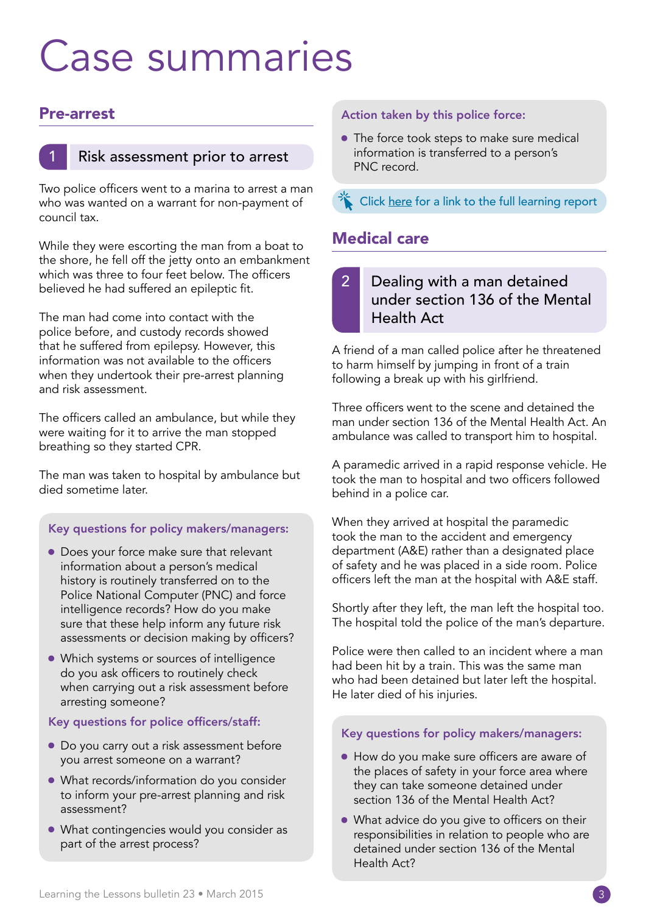## Case summaries

## Pre-arrest



## Risk assessment prior to arrest

Two police officers went to a marina to arrest a man who was wanted on a warrant for non-payment of council tax.

While they were escorting the man from a boat to the shore, he fell off the jetty onto an embankment which was three to four feet below. The officers believed he had suffered an epileptic fit.

The man had come into contact with the police before, and custody records showed that he suffered from epilepsy. However, this information was not available to the officers when they undertook their pre-arrest planning and risk assessment.

The officers called an ambulance, but while they were waiting for it to arrive the man stopped breathing so they started CPR.

The man was taken to hospital by ambulance but died sometime later.

### Key questions for policy makers/managers:

- Does your force make sure that relevant information about a person's medical history is routinely transferred on to the Police National Computer (PNC) and force intelligence records? How do you make sure that these help inform any future risk assessments or decision making by officers?
- Which systems or sources of intelligence do you ask officers to routinely check when carrying out a risk assessment before arresting someone?

### Key questions for police officers/staff:

- Do you carry out a risk assessment before you arrest someone on a warrant?
- What records/information do you consider to inform your pre-arrest planning and risk assessment?
- What contingencies would you consider as part of the arrest process?

#### Action taken by this police force:

• The force took steps to make sure medical information is transferred to a person's PNC record.

[Click here for a link to the full learning report](http://www.ipcc.gov.uk/Documents/learning-the-lessons/23/Bulletin_23_Case1.pdf)

## Medical care

## 2 Dealing with a man detained under section 136 of the Mental Health Act

A friend of a man called police after he threatened to harm himself by jumping in front of a train following a break up with his girlfriend.

Three officers went to the scene and detained the man under section 136 of the Mental Health Act. An ambulance was called to transport him to hospital.

A paramedic arrived in a rapid response vehicle. He took the man to hospital and two officers followed behind in a police car.

When they arrived at hospital the paramedic took the man to the accident and emergency department (A&E) rather than a designated place of safety and he was placed in a side room. Police officers left the man at the hospital with A&E staff.

Shortly after they left, the man left the hospital too. The hospital told the police of the man's departure.

Police were then called to an incident where a man had been hit by a train. This was the same man who had been detained but later left the hospital. He later died of his injuries.

### Key questions for policy makers/managers:

- How do you make sure officers are aware of the places of safety in your force area where they can take someone detained under section 136 of the Mental Health Act?
- What advice do you give to officers on their responsibilities in relation to people who are detained under section 136 of the Mental Health Act?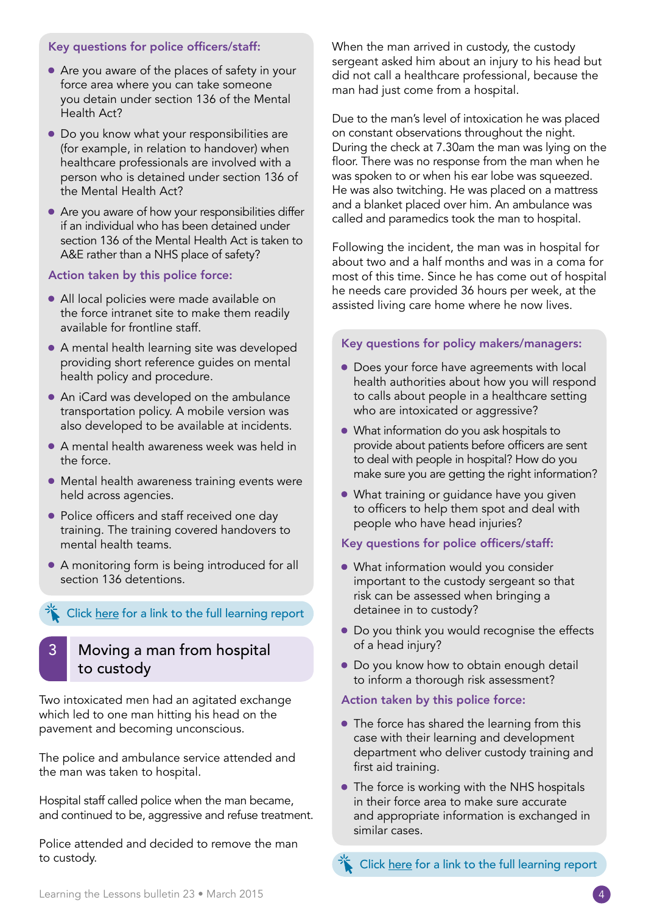#### Key questions for police officers/staff:

- Are you aware of the places of safety in your force area where you can take someone you detain under section 136 of the Mental Health Act?
- Do you know what your responsibilities are (for example, in relation to handover) when healthcare professionals are involved with a person who is detained under section 136 of the Mental Health Act?
- Are you aware of how your responsibilities differ if an individual who has been detained under section 136 of the Mental Health Act is taken to A&E rather than a NHS place of safety?

#### Action taken by this police force:

- All local policies were made available on the force intranet site to make them readily available for frontline staff.
- A mental health learning site was developed providing short reference guides on mental health policy and procedure.
- An iCard was developed on the ambulance transportation policy. A mobile version was also developed to be available at incidents.
- A mental health awareness week was held in the force.
- Mental health awareness training events were held across agencies.
- Police officers and staff received one day training. The training covered handovers to mental health teams.
- A monitoring form is being introduced for all section 136 detentions.

#### [Click here for a link to the full learning report](http://www.ipcc.gov.uk/Documents/learning-the-lessons/23/Bulletin_23_Case2.pdf)

## Moving a man from hospital to custody

Two intoxicated men had an agitated exchange which led to one man hitting his head on the pavement and becoming unconscious.

The police and ambulance service attended and the man was taken to hospital.

Hospital staff called police when the man became, and continued to be, aggressive and refuse treatment.

Police attended and decided to remove the man to custody.

When the man arrived in custody, the custody sergeant asked him about an injury to his head but did not call a healthcare professional, because the man had just come from a hospital.

Due to the man's level of intoxication he was placed on constant observations throughout the night. During the check at 7.30am the man was lying on the floor. There was no response from the man when he was spoken to or when his ear lobe was squeezed. He was also twitching. He was placed on a mattress and a blanket placed over him. An ambulance was called and paramedics took the man to hospital.

Following the incident, the man was in hospital for about two and a half months and was in a coma for most of this time. Since he has come out of hospital he needs care provided 36 hours per week, at the assisted living care home where he now lives.

#### Key questions for policy makers/managers:

- Does your force have agreements with local health authorities about how you will respond to calls about people in a healthcare setting who are intoxicated or aggressive?
- What information do you ask hospitals to provide about patients before officers are sent to deal with people in hospital? How do you make sure you are getting the right information?
- What training or guidance have you given to officers to help them spot and deal with people who have head injuries?

#### Key questions for police officers/staff:

- What information would you consider important to the custody sergeant so that risk can be assessed when bringing a detainee in to custody?
- Do you think you would recognise the effects of a head injury?
- Do you know how to obtain enough detail to inform a thorough risk assessment?

#### Action taken by this police force:

- The force has shared the learning from this case with their learning and development department who deliver custody training and first aid training.
- The force is working with the NHS hospitals in their force area to make sure accurate and appropriate information is exchanged in similar cases.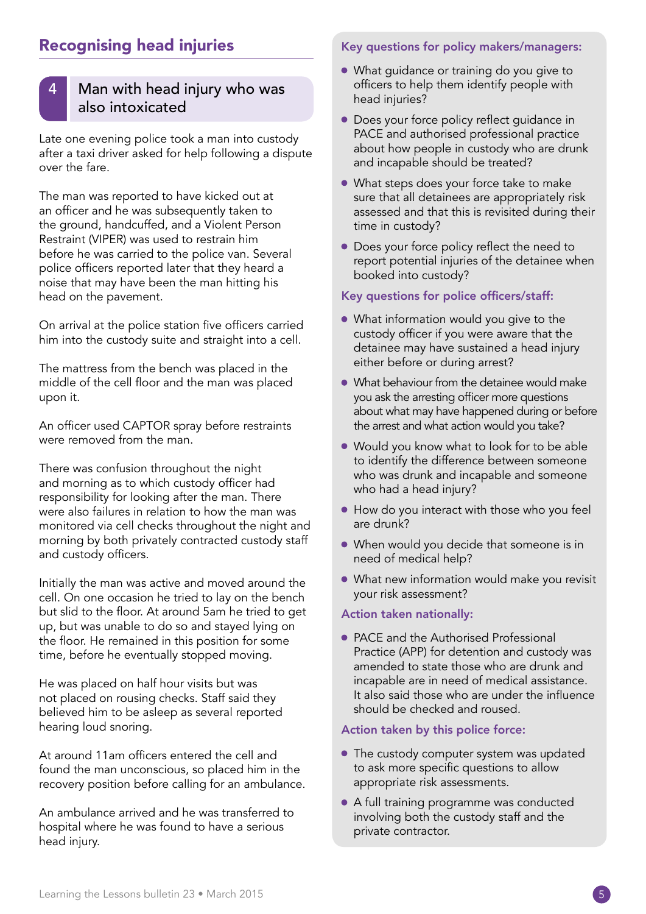## Recognising head injuries

## Man with head injury who was also intoxicated

Late one evening police took a man into custody after a taxi driver asked for help following a dispute over the fare.

The man was reported to have kicked out at an officer and he was subsequently taken to the ground, handcuffed, and a Violent Person Restraint (VIPER) was used to restrain him before he was carried to the police van. Several police officers reported later that they heard a noise that may have been the man hitting his head on the pavement.

On arrival at the police station five officers carried him into the custody suite and straight into a cell.

The mattress from the bench was placed in the middle of the cell floor and the man was placed upon it.

An officer used CAPTOR spray before restraints were removed from the man.

There was confusion throughout the night and morning as to which custody officer had responsibility for looking after the man. There were also failures in relation to how the man was monitored via cell checks throughout the night and morning by both privately contracted custody staff and custody officers.

Initially the man was active and moved around the cell. On one occasion he tried to lay on the bench but slid to the floor. At around 5am he tried to get up, but was unable to do so and stayed lying on the floor. He remained in this position for some time, before he eventually stopped moving.

He was placed on half hour visits but was not placed on rousing checks. Staff said they believed him to be asleep as several reported hearing loud snoring.

At around 11am officers entered the cell and found the man unconscious, so placed him in the recovery position before calling for an ambulance.

An ambulance arrived and he was transferred to hospital where he was found to have a serious head injury.

#### Key questions for policy makers/managers:

- What guidance or training do you give to officers to help them identify people with head injuries?
- Does your force policy reflect guidance in PACE and authorised professional practice about how people in custody who are drunk and incapable should be treated?
- What steps does your force take to make sure that all detainees are appropriately risk assessed and that this is revisited during their time in custody?
- Does your force policy reflect the need to report potential injuries of the detainee when booked into custody?

#### Key questions for police officers/staff:

- What information would you give to the custody officer if you were aware that the detainee may have sustained a head injury either before or during arrest?
- What behaviour from the detainee would make you ask the arresting officer more questions about what may have happened during or before the arrest and what action would you take?
- Would you know what to look for to be able to identify the difference between someone who was drunk and incapable and someone who had a head injury?
- How do you interact with those who you feel are drunk?
- When would you decide that someone is in need of medical help?
- What new information would make you revisit your risk assessment?

#### Action taken nationally:

• PACE and the Authorised Professional Practice (APP) for detention and custody was amended to state those who are drunk and incapable are in need of medical assistance. It also said those who are under the influence should be checked and roused.

#### Action taken by this police force:

- The custody computer system was updated to ask more specific questions to allow appropriate risk assessments.
- A full training programme was conducted involving both the custody staff and the private contractor.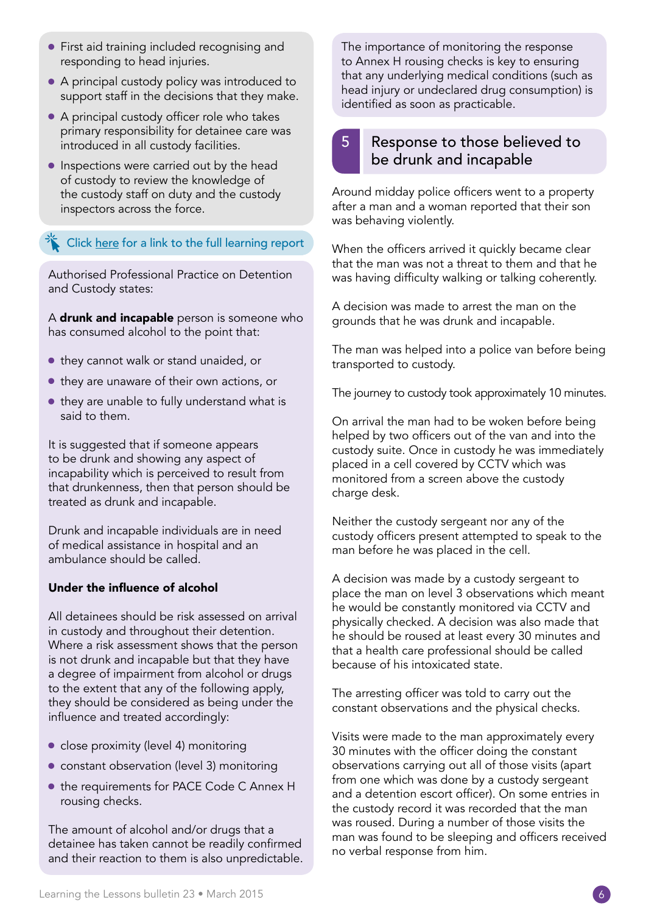- First aid training included recognising and responding to head injuries.
- A principal custody policy was introduced to support staff in the decisions that they make.
- A principal custody officer role who takes primary responsibility for detainee care was introduced in all custody facilities.
- Inspections were carried out by the head of custody to review the knowledge of the custody staff on duty and the custody inspectors across the force.

[Click here for a link to the full learning report](http://www.ipcc.gov.uk/Documents/learning-the-lessons/23/Bulletin_23_Case4.pdf)

Authorised Professional Practice on Detention and Custody states:

A drunk and incapable person is someone who has consumed alcohol to the point that:

- they cannot walk or stand unaided, or
- they are unaware of their own actions, or
- they are unable to fully understand what is said to them.

It is suggested that if someone appears to be drunk and showing any aspect of incapability which is perceived to result from that drunkenness, then that person should be treated as drunk and incapable.

Drunk and incapable individuals are in need of medical assistance in hospital and an ambulance should be called.

### Under the influence of alcohol

All detainees should be risk assessed on arrival in custody and throughout their detention. Where a risk assessment shows that the person is not drunk and incapable but that they have a degree of impairment from alcohol or drugs to the extent that any of the following apply, they should be considered as being under the influence and treated accordingly:

- close proximity (level 4) monitoring
- constant observation (level 3) monitoring
- the requirements for [PACE Code C](http://www.official-documents.gov.uk/document/other/9780108512780/9780108512780.pdf) Annex H rousing checks.

The amount of alcohol and/or drugs that a detainee has taken cannot be readily confirmed and their reaction to them is also unpredictable. The importance of monitoring the response to Annex H rousing checks is key to ensuring that any underlying medical conditions (such as head injury or undeclared drug consumption) is identified as soon as practicable.

## Response to those believed to be drunk and incapable

Around midday police officers went to a property after a man and a woman reported that their son was behaving violently.

When the officers arrived it quickly became clear that the man was not a threat to them and that he was having difficulty walking or talking coherently.

A decision was made to arrest the man on the grounds that he was drunk and incapable.

The man was helped into a police van before being transported to custody.

The journey to custody took approximately 10 minutes.

On arrival the man had to be woken before being helped by two officers out of the van and into the custody suite. Once in custody he was immediately placed in a cell covered by CCTV which was monitored from a screen above the custody charge desk.

Neither the custody sergeant nor any of the custody officers present attempted to speak to the man before he was placed in the cell.

A decision was made by a custody sergeant to place the man on level 3 observations which meant he would be constantly monitored via CCTV and physically checked. A decision was also made that he should be roused at least every 30 minutes and that a health care professional should be called because of his intoxicated state.

The arresting officer was told to carry out the constant observations and the physical checks.

Visits were made to the man approximately every 30 minutes with the officer doing the constant observations carrying out all of those visits (apart from one which was done by a custody sergeant and a detention escort officer). On some entries in the custody record it was recorded that the man was roused. During a number of those visits the man was found to be sleeping and officers received no verbal response from him.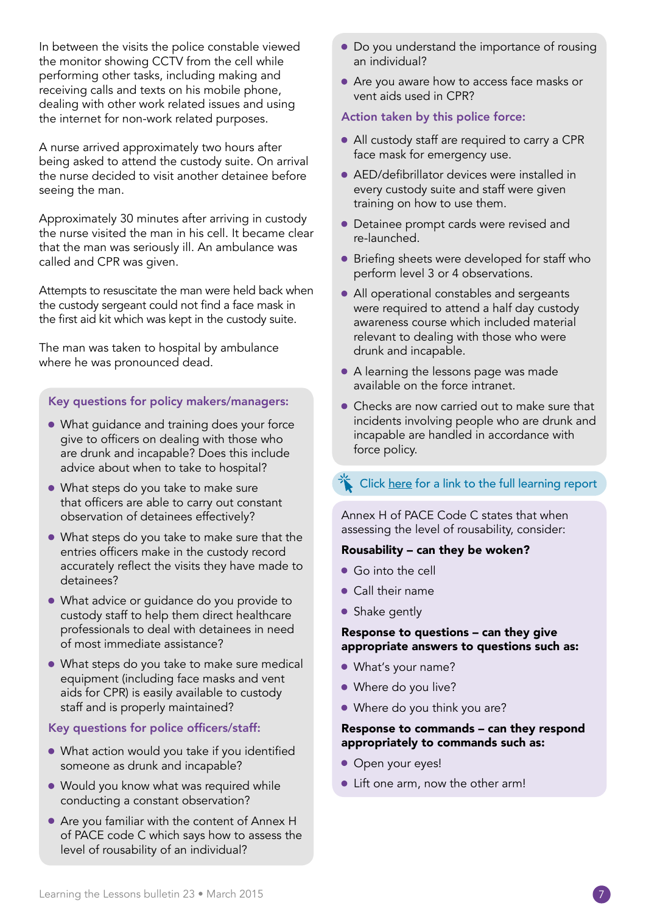In between the visits the police constable viewed the monitor showing CCTV from the cell while performing other tasks, including making and receiving calls and texts on his mobile phone, dealing with other work related issues and using the internet for non-work related purposes.

A nurse arrived approximately two hours after being asked to attend the custody suite. On arrival the nurse decided to visit another detainee before seeing the man.

Approximately 30 minutes after arriving in custody the nurse visited the man in his cell. It became clear that the man was seriously ill. An ambulance was called and CPR was given.

Attempts to resuscitate the man were held back when the custody sergeant could not find a face mask in the first aid kit which was kept in the custody suite.

The man was taken to hospital by ambulance where he was pronounced dead.

#### Key questions for policy makers/managers:

- What guidance and training does your force give to officers on dealing with those who are drunk and incapable? Does this include advice about when to take to hospital?
- What steps do you take to make sure that officers are able to carry out constant observation of detainees effectively?
- What steps do you take to make sure that the entries officers make in the custody record accurately reflect the visits they have made to detainees?
- What advice or quidance do you provide to custody staff to help them direct healthcare professionals to deal with detainees in need of most immediate assistance?
- What steps do you take to make sure medical equipment (including face masks and vent aids for CPR) is easily available to custody staff and is properly maintained?

#### Key questions for police officers/staff:

- What action would you take if you identified someone as drunk and incapable?
- Would you know what was required while conducting a constant observation?
- Are you familiar with the content of Annex H of PACE code C which says how to assess the level of rousability of an individual?
- Do you understand the importance of rousing an individual?
- Are you aware how to access face masks or vent aids used in CPR?

#### Action taken by this police force:

- All custody staff are required to carry a CPR face mask for emergency use.
- AED/defibrillator devices were installed in every custody suite and staff were given training on how to use them.
- Detainee prompt cards were revised and re-launched.
- Briefing sheets were developed for staff who perform level 3 or 4 observations.
- All operational constables and sergeants were required to attend a half day custody awareness course which included material relevant to dealing with those who were drunk and incapable.
- A learning the lessons page was made available on the force intranet.
- Checks are now carried out to make sure that incidents involving people who are drunk and incapable are handled in accordance with force policy.

## [Click here for a link to the full learning report](http://www.ipcc.gov.uk/Documents/learning-the-lessons/23/Bulletin_23_Case5.pdf)

Annex H of PACE Code C states that when assessing the level of rousability, consider:

#### Rousability – can they be woken?

- Go into the cell
- Call their name
- Shake gently

#### Response to questions – can they give appropriate answers to questions such as:

- What's your name?
- Where do you live?
- Where do you think you are?

#### Response to commands – can they respond appropriately to commands such as:

- Open your eyes!
- Lift one arm, now the other arm!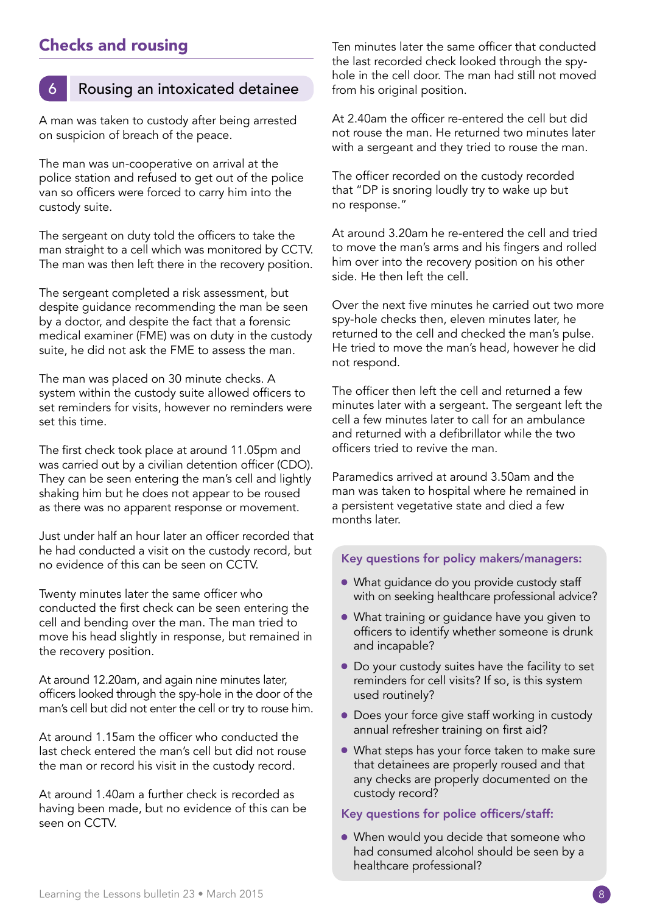## Checks and rousing

## Rousing an intoxicated detainee

A man was taken to custody after being arrested on suspicion of breach of the peace.

The man was un-cooperative on arrival at the police station and refused to get out of the police van so officers were forced to carry him into the custody suite.

The sergeant on duty told the officers to take the man straight to a cell which was monitored by CCTV. The man was then left there in the recovery position.

The sergeant completed a risk assessment, but despite guidance recommending the man be seen by a doctor, and despite the fact that a forensic medical examiner (FME) was on duty in the custody suite, he did not ask the FME to assess the man.

The man was placed on 30 minute checks. A system within the custody suite allowed officers to set reminders for visits, however no reminders were set this time.

The first check took place at around 11.05pm and was carried out by a civilian detention officer (CDO). They can be seen entering the man's cell and lightly shaking him but he does not appear to be roused as there was no apparent response or movement.

Just under half an hour later an officer recorded that he had conducted a visit on the custody record, but no evidence of this can be seen on CCTV.

Twenty minutes later the same officer who conducted the first check can be seen entering the cell and bending over the man. The man tried to move his head slightly in response, but remained in the recovery position.

At around 12.20am, and again nine minutes later, officers looked through the spy-hole in the door of the man's cell but did not enter the cell or try to rouse him.

At around 1.15am the officer who conducted the last check entered the man's cell but did not rouse the man or record his visit in the custody record.

At around 1.40am a further check is recorded as having been made, but no evidence of this can be seen on CCTV.

Ten minutes later the same officer that conducted the last recorded check looked through the spyhole in the cell door. The man had still not moved from his original position.

At 2.40am the officer re-entered the cell but did not rouse the man. He returned two minutes later with a sergeant and they tried to rouse the man.

The officer recorded on the custody recorded that "DP is snoring loudly try to wake up but no response."

At around 3.20am he re-entered the cell and tried to move the man's arms and his fingers and rolled him over into the recovery position on his other side. He then left the cell.

Over the next five minutes he carried out two more spy-hole checks then, eleven minutes later, he returned to the cell and checked the man's pulse. He tried to move the man's head, however he did not respond.

The officer then left the cell and returned a few minutes later with a sergeant. The sergeant left the cell a few minutes later to call for an ambulance and returned with a defibrillator while the two officers tried to revive the man.

Paramedics arrived at around 3.50am and the man was taken to hospital where he remained in a persistent vegetative state and died a few months later.

#### Key questions for policy makers/managers:

- What guidance do you provide custody staff with on seeking healthcare professional advice?
- What training or quidance have you given to officers to identify whether someone is drunk and incapable?
- Do your custody suites have the facility to set reminders for cell visits? If so, is this system used routinely?
- Does your force give staff working in custody annual refresher training on first aid?
- What steps has your force taken to make sure that detainees are properly roused and that any checks are properly documented on the custody record?

#### Key questions for police officers/staff:

• When would you decide that someone who had consumed alcohol should be seen by a healthcare professional?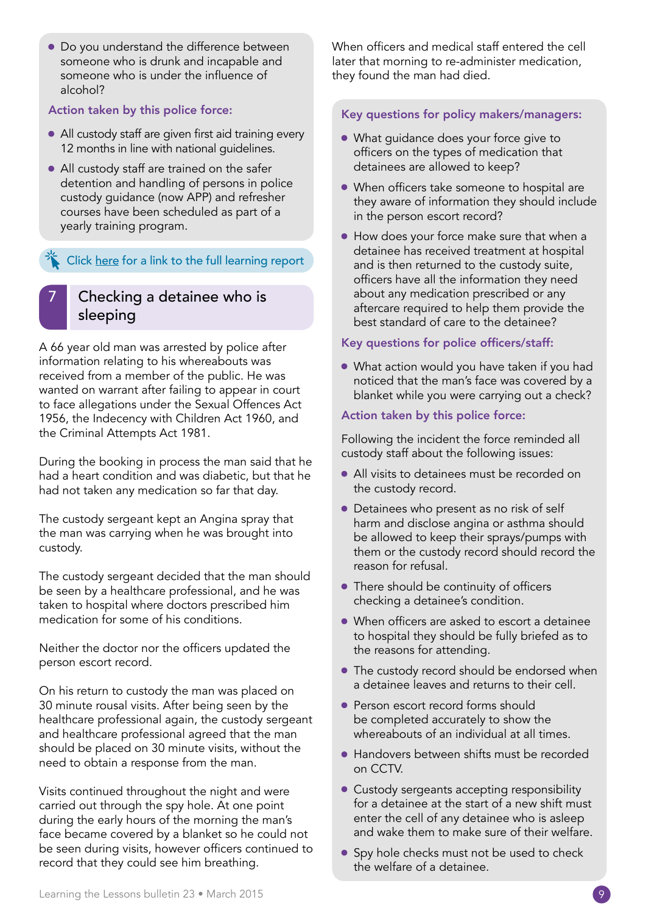• Do you understand the difference between someone who is drunk and incapable and someone who is under the influence of alcohol?

#### Action taken by this police force:

- All custody staff are given first aid training every 12 months in line with national guidelines.
- All custody staff are trained on the safer detention and handling of persons in police custody guidance (now APP) and refresher courses have been scheduled as part of a yearly training program.

## [Click here for a link to the full learning report](http://www.ipcc.gov.uk/Documents/learning-the-lessons/23/Bulletin_23_Case6.pdf)

## Checking a detainee who is sleeping

A 66 year old man was arrested by police after information relating to his whereabouts was received from a member of the public. He was wanted on warrant after failing to appear in court to face allegations under the Sexual Offences Act 1956, the Indecency with Children Act 1960, and the Criminal Attempts Act 1981.

During the booking in process the man said that he had a heart condition and was diabetic, but that he had not taken any medication so far that day.

The custody sergeant kept an Angina spray that the man was carrying when he was brought into custody.

The custody sergeant decided that the man should be seen by a healthcare professional, and he was taken to hospital where doctors prescribed him medication for some of his conditions.

Neither the doctor nor the officers updated the person escort record.

On his return to custody the man was placed on 30 minute rousal visits. After being seen by the healthcare professional again, the custody sergeant and healthcare professional agreed that the man should be placed on 30 minute visits, without the need to obtain a response from the man.

Visits continued throughout the night and were carried out through the spy hole. At one point during the early hours of the morning the man's face became covered by a blanket so he could not be seen during visits, however officers continued to record that they could see him breathing.

When officers and medical staff entered the cell later that morning to re-administer medication, they found the man had died.

#### Key questions for policy makers/managers:

- What guidance does your force give to officers on the types of medication that detainees are allowed to keep?
- When officers take someone to hospital are they aware of information they should include in the person escort record?
- How does your force make sure that when a detainee has received treatment at hospital and is then returned to the custody suite, officers have all the information they need about any medication prescribed or any aftercare required to help them provide the best standard of care to the detainee?

#### Key questions for police officers/staff:

• What action would you have taken if you had noticed that the man's face was covered by a blanket while you were carrying out a check?

#### Action taken by this police force:

Following the incident the force reminded all custody staff about the following issues:

- All visits to detainees must be recorded on the custody record.
- Detainees who present as no risk of self harm and disclose angina or asthma should be allowed to keep their sprays/pumps with them or the custody record should record the reason for refusal.
- There should be continuity of officers checking a detainee's condition.
- When officers are asked to escort a detainee to hospital they should be fully briefed as to the reasons for attending.
- The custody record should be endorsed when a detainee leaves and returns to their cell.
- Person escort record forms should be completed accurately to show the whereabouts of an individual at all times.
- Handovers between shifts must be recorded on CCTV.
- Custody sergeants accepting responsibility for a detainee at the start of a new shift must enter the cell of any detainee who is asleep and wake them to make sure of their welfare.
- Spy hole checks must not be used to check the welfare of a detainee.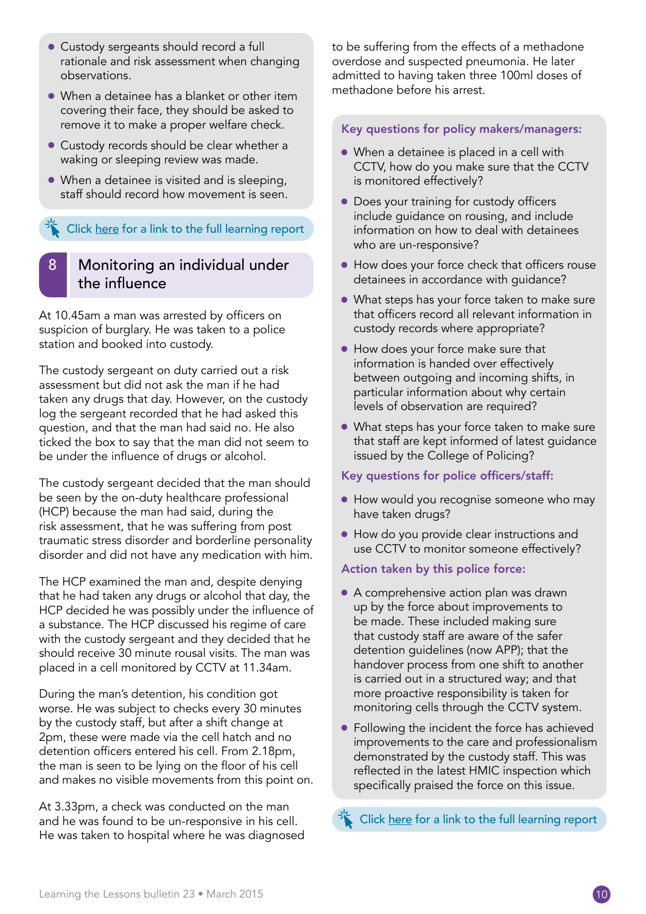- Custody sergeants should record a full rationale and risk assessment when changing observations.
- When a detainee has a blanket or other item covering their face, they should be asked to remove it to make a proper welfare check.
- Custody records should be clear whether a waking or sleeping review was made.
- When a detainee is visited and is sleeping, staff should record how movement is seen.

[Click here for a link to the full learning report](http://www.ipcc.gov.uk/Documents/learning-the-lessons/23/Bulletin_23_Case7.pdf)

## Monitoring an individual under the influence

At 10.45am a man was arrested by officers on suspicion of burglary. He was taken to a police station and booked into custody.

The custody sergeant on duty carried out a risk assessment but did not ask the man if he had taken any drugs that day. However, on the custody log the sergeant recorded that he had asked this question, and that the man had said no. He also ticked the box to say that the man did not seem to be under the influence of drugs or alcohol.

The custody sergeant decided that the man should be seen by the on-duty healthcare professional (HCP) because the man had said, during the risk assessment, that he was suffering from post traumatic stress disorder and borderline personality disorder and did not have any medication with him.

The HCP examined the man and, despite denying that he had taken any drugs or alcohol that day, the HCP decided he was possibly under the influence of a substance. The HCP discussed his regime of care with the custody sergeant and they decided that he should receive 30 minute rousal visits. The man was placed in a cell monitored by CCTV at 11.34am.

During the man's detention, his condition got worse. He was subject to checks every 30 minutes by the custody staff, but after a shift change at 2pm, these were made via the cell hatch and no detention officers entered his cell. From 2.18pm, the man is seen to be lying on the floor of his cell and makes no visible movements from this point on.

At 3.33pm, a check was conducted on the man and he was found to be un-responsive in his cell. He was taken to hospital where he was diagnosed to be suffering from the effects of a methadone overdose and suspected pneumonia. He later admitted to having taken three 100ml doses of methadone before his arrest.

#### Key questions for policy makers/managers:

- When a detainee is placed in a cell with CCTV, how do you make sure that the CCTV is monitored effectively?
- Does your training for custody officers include guidance on rousing, and include information on how to deal with detainees who are un-responsive?
- How does your force check that officers rouse detainees in accordance with guidance?
- What steps has your force taken to make sure that officers record all relevant information in custody records where appropriate?
- How does your force make sure that information is handed over effectively between outgoing and incoming shifts, in particular information about why certain levels of observation are required?
- What steps has your force taken to make sure that staff are kept informed of latest guidance issued by the College of Policing?

#### Key questions for police officers/staff:

- How would you recognise someone who may have taken drugs?
- How do you provide clear instructions and use CCTV to monitor someone effectively?

#### Action taken by this police force:

- A comprehensive action plan was drawn up by the force about improvements to be made. These included making sure that custody staff are aware of the safer detention guidelines (now APP); that the handover process from one shift to another is carried out in a structured way; and that more proactive responsibility is taken for monitoring cells through the CCTV system.
- Following the incident the force has achieved improvements to the care and professionalism demonstrated by the custody staff. This was reflected in the latest HMIC inspection which specifically praised the force on this issue.

[Click here for a link to the full learning report](http://www.ipcc.gov.uk/Documents/learning-the-lessons/23/Bulletin_23_Case8.pdf)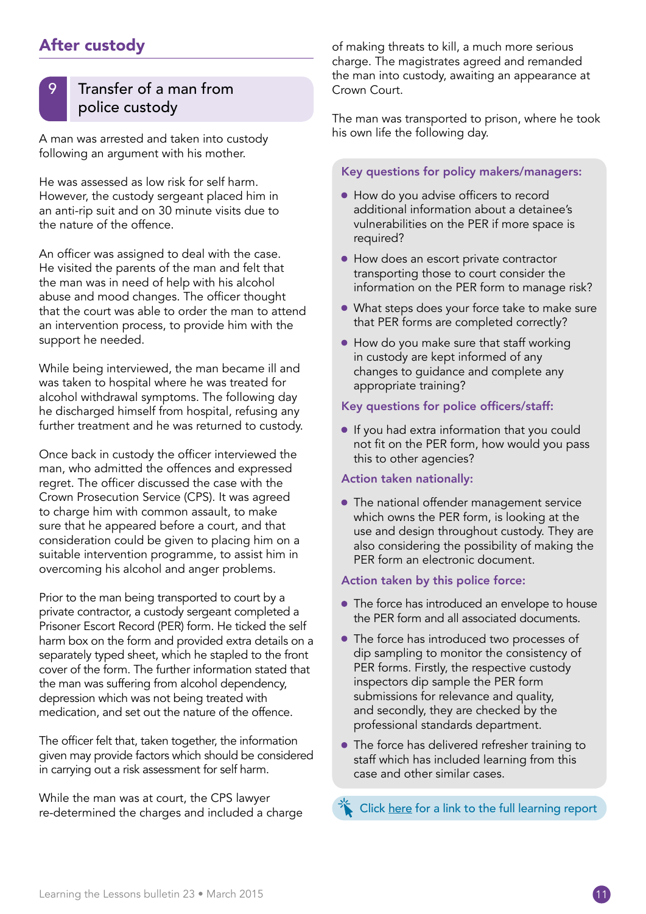## After custody

## Transfer of a man from police custody

A man was arrested and taken into custody following an argument with his mother.

He was assessed as low risk for self harm. However, the custody sergeant placed him in an anti-rip suit and on 30 minute visits due to the nature of the offence.

An officer was assigned to deal with the case. He visited the parents of the man and felt that the man was in need of help with his alcohol abuse and mood changes. The officer thought that the court was able to order the man to attend an intervention process, to provide him with the support he needed.

While being interviewed, the man became ill and was taken to hospital where he was treated for alcohol withdrawal symptoms. The following day he discharged himself from hospital, refusing any further treatment and he was returned to custody.

Once back in custody the officer interviewed the man, who admitted the offences and expressed regret. The officer discussed the case with the Crown Prosecution Service (CPS). It was agreed to charge him with common assault, to make sure that he appeared before a court, and that consideration could be given to placing him on a suitable intervention programme, to assist him in overcoming his alcohol and anger problems.

Prior to the man being transported to court by a private contractor, a custody sergeant completed a Prisoner Escort Record (PER) form. He ticked the self harm box on the form and provided extra details on a separately typed sheet, which he stapled to the front cover of the form. The further information stated that the man was suffering from alcohol dependency, depression which was not being treated with medication, and set out the nature of the offence.

The officer felt that, taken together, the information given may provide factors which should be considered in carrying out a risk assessment for self harm.

While the man was at court, the CPS lawyer re-determined the charges and included a charge of making threats to kill, a much more serious charge. The magistrates agreed and remanded the man into custody, awaiting an appearance at Crown Court.

The man was transported to prison, where he took his own life the following day.

#### Key questions for policy makers/managers:

- How do you advise officers to record additional information about a detainee's vulnerabilities on the PER if more space is required?
- How does an escort private contractor transporting those to court consider the information on the PER form to manage risk?
- What steps does your force take to make sure that PER forms are completed correctly?
- How do you make sure that staff working in custody are kept informed of any changes to guidance and complete any appropriate training?

#### Key questions for police officers/staff:

• If you had extra information that you could not fit on the PER form, how would you pass this to other agencies?

#### Action taken nationally:

• The national offender management service which owns the PER form, is looking at the use and design throughout custody. They are also considering the possibility of making the PER form an electronic document.

#### Action taken by this police force:

- The force has introduced an envelope to house the PER form and all associated documents.
- The force has introduced two processes of dip sampling to monitor the consistency of PER forms. Firstly, the respective custody inspectors dip sample the PER form submissions for relevance and quality, and secondly, they are checked by the professional standards department.
- The force has delivered refresher training to staff which has included learning from this case and other similar cases.

[Click here for a link to the full learning report](http://www.ipcc.gov.uk/Documents/learning-the-lessons/23/Bulletin_23_Case9.pdf)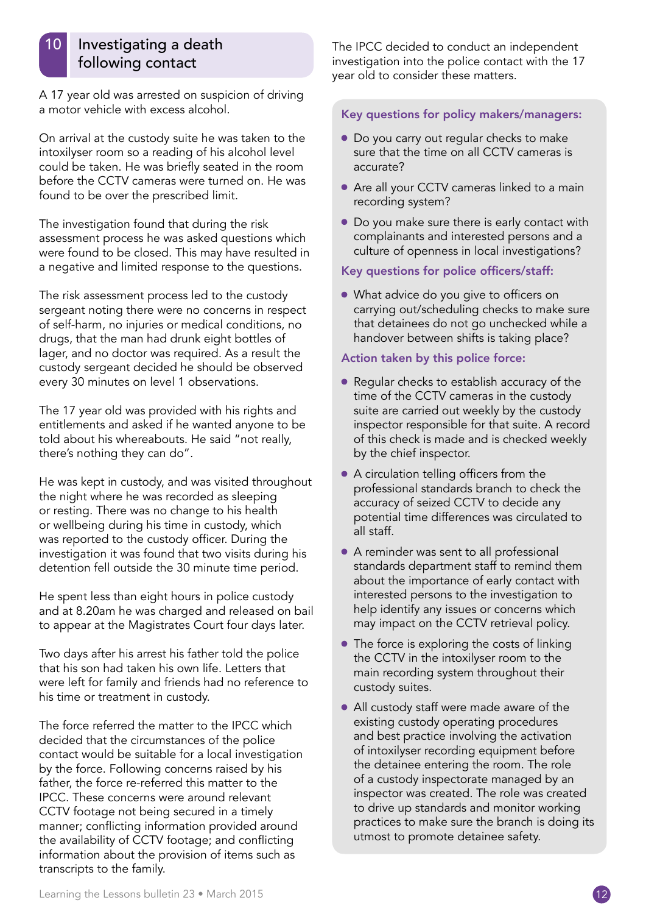## Investigating a death following contact

A 17 year old was arrested on suspicion of driving a motor vehicle with excess alcohol.

On arrival at the custody suite he was taken to the intoxilyser room so a reading of his alcohol level could be taken. He was briefly seated in the room before the CCTV cameras were turned on. He was found to be over the prescribed limit.

The investigation found that during the risk assessment process he was asked questions which were found to be closed. This may have resulted in a negative and limited response to the questions.

The risk assessment process led to the custody sergeant noting there were no concerns in respect of self-harm, no injuries or medical conditions, no drugs, that the man had drunk eight bottles of lager, and no doctor was required. As a result the custody sergeant decided he should be observed every 30 minutes on level 1 observations.

The 17 year old was provided with his rights and entitlements and asked if he wanted anyone to be told about his whereabouts. He said "not really, there's nothing they can do".

He was kept in custody, and was visited throughout the night where he was recorded as sleeping or resting. There was no change to his health or wellbeing during his time in custody, which was reported to the custody officer. During the investigation it was found that two visits during his detention fell outside the 30 minute time period.

He spent less than eight hours in police custody and at 8.20am he was charged and released on bail to appear at the Magistrates Court four days later.

Two days after his arrest his father told the police that his son had taken his own life. Letters that were left for family and friends had no reference to his time or treatment in custody.

The force referred the matter to the IPCC which decided that the circumstances of the police contact would be suitable for a local investigation by the force. Following concerns raised by his father, the force re-referred this matter to the IPCC. These concerns were around relevant CCTV footage not being secured in a timely manner; conflicting information provided around the availability of CCTV footage; and conflicting information about the provision of items such as transcripts to the family.

The IPCC decided to conduct an independent investigation into the police contact with the 17 year old to consider these matters.

#### Key questions for policy makers/managers:

- Do you carry out regular checks to make sure that the time on all CCTV cameras is accurate?
- Are all your CCTV cameras linked to a main recording system?
- Do you make sure there is early contact with complainants and interested persons and a culture of openness in local investigations?

#### Key questions for police officers/staff:

• What advice do you give to officers on carrying out/scheduling checks to make sure that detainees do not go unchecked while a handover between shifts is taking place?

#### Action taken by this police force:

- Regular checks to establish accuracy of the time of the CCTV cameras in the custody suite are carried out weekly by the custody inspector responsible for that suite. A record of this check is made and is checked weekly by the chief inspector.
- A circulation telling officers from the professional standards branch to check the accuracy of seized CCTV to decide any potential time differences was circulated to all staff.
- A reminder was sent to all professional standards department staff to remind them about the importance of early contact with interested persons to the investigation to help identify any issues or concerns which may impact on the CCTV retrieval policy.
- The force is exploring the costs of linking the CCTV in the intoxilyser room to the main recording system throughout their custody suites.
- All custody staff were made aware of the existing custody operating procedures and best practice involving the activation of intoxilyser recording equipment before the detainee entering the room. The role of a custody inspectorate managed by an inspector was created. The role was created to drive up standards and monitor working practices to make sure the branch is doing its utmost to promote detainee safety.